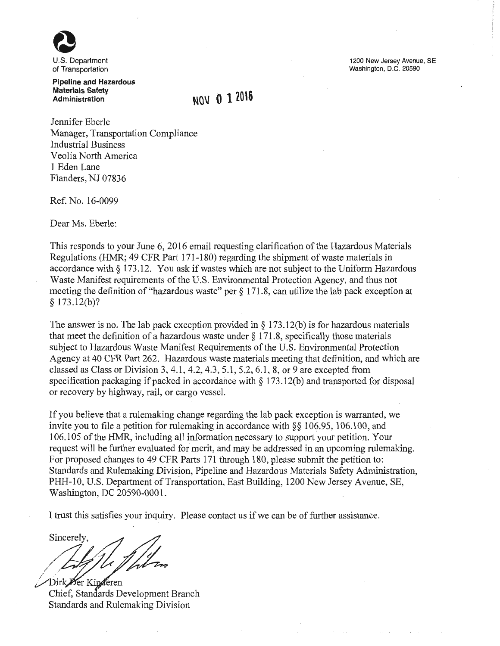U.S. Department of Transportation

**Pipeline and Hazardous Materials Safety Administration** 

**NOV () 120\6** 

Jennifer Eberle Manager, Transportation Compliance Industrial Business Veolia North America **1** Eden Lane Flanders, NJ 07836

Ref. No. 16-0099

Dear Ms. Eberle:

This responds to your June 6, 2016 email requesting clarification of the Hazardous Materials Regulations (HMR; 49 CFR Part 171-180) regarding the shipment of waste materials in accordance with§ 173.12. You ask if wastes which are not subject to the Uniform Hazardous Waste Manifest requirements of the U.S. Environmental Protection Agency, and thus not meeting the definition of "hazardous waste" per § 171. 8, can utilize the lab pack exception at § 173.12(b)?

The answer is no. The lab pack exception provided in  $\S 173.12(b)$  is for hazardous materials that meet the definition of a hazardous waste under  $\S 171.8$ , specifically those materials subject to Hazardous Waste Manifest Requirements of the U.S. Environmental Protection Agency at 40 CFR Part 262. Hazardous waste materials meeting that definition, and which are classed as Class or Division 3, 4.1 , 4.2, 4.3, 5.1 , 5.2, 6.1 , 8, or 9 are excepted from specification packaging if packed in accordance with § 173.12(b) and transported for disposal or recovery by highway, rail, or cargo vessel.

If you believe that a rulemaking change regarding the lab pack exception is warranted, we invite you to file a petition for rulemaking in accordance with  $\S$ § 106.95, 106.100, and 106.105 of the HMR, including all information necessary to support your petition. Your request will be further evaluated for merit, and may be addressed in an upcoming rulemaking. For proposed changes to 49 CFR Parts 171 through 180, please submit the petition to: Standards and Rulemaking Division, Pipeline and Hazardous Materials Safety Administration, PHH-10, U.S. Department of Transportation, East Building, 1200 New Jersey Avenue, SE, Washington, DC 20590-0001.

I trust this satisfies your inquiry. Please contact us if we can be of further assistance.

 $\sim$ / sinceres,

Chief, Standards Development Branch Standards and Rulemaking Division

1200 New Jersey Avenue, SE Washington, D.C. 20590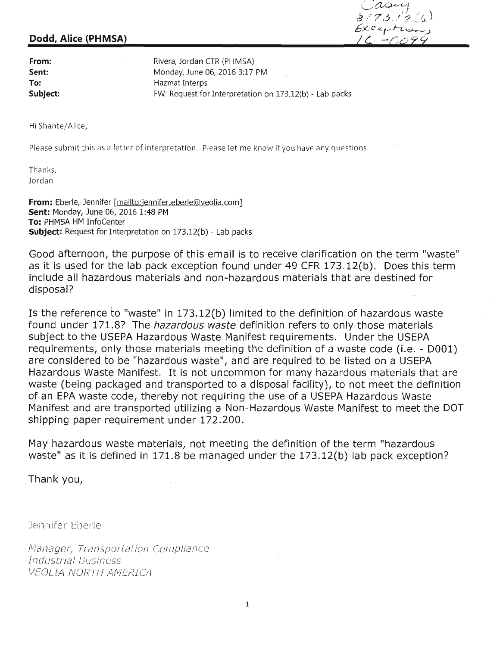## **Dodd, Alice (PHMSA)**

 $\alpha$ 3/73/201  $Exc$ expotronon  $16. -0.099$ 

**From: Sent: To: Subject:**  Rivera, Jordan CTR (PHMSA) Monday, June 06, 2016 3:17 PM Hazmat Interps FW: Request for Interpretation on 173.12(b) - Lab packs

Hi Shante/Alice,

Please submit this as a letter of interpretation. Please let me know if you have any questions.

Thanks, Jordan

**From:** Eberle, Jennifer [mailto:jennifer.eberle@veolia.com] **Sent:** Monday, June 06, 2016 1:48 PM **To:** PHMSA HM InfoCenter **Subject:** Request for Interpretation on 173.12(b) - Lab packs

Good afternoon, the purpose of this email is to receive clarification on the term "waste" as it is used for the lab pack exception found under 49 CFR 173.12(b). Does this term include all hazardous materials and non-hazardous materials that are destined for disposal?

Is the reference to "waste" in 173.12(b) limited to the definition of hazardous waste found under 171.8? The hazardous waste definition refers to only those materials subject to the USEPA Hazardous Waste Manifest requirements. Under the USEPA requirements, only those materials meeting the definition of a waste code (i.e. - 0001) are considered to be "hazardous waste", and are required to be listed on a USEPA Hazardous Waste Manifest. It is not uncommon for many hazardous materials that are waste (being packaged and transported to a disposal facility), to not meet the definition of an EPA waste code, thereby not requiring the use of a USEPA Hazardous Waste Manifest and are transported utilizing a Non-Hazardous Waste Manifest to meet the DOT shipping paper requirement under 172.200.

May hazardous waste materials, not meeting the definition of the term "hazardous waste" as it is defined in 171.8 be managed under the 173.12(b) lab pack exception?

Thank you,

Jennifer Eberle

Manager, Transportation Compliance Industrial Business VEOLIA NORTH AMERICA